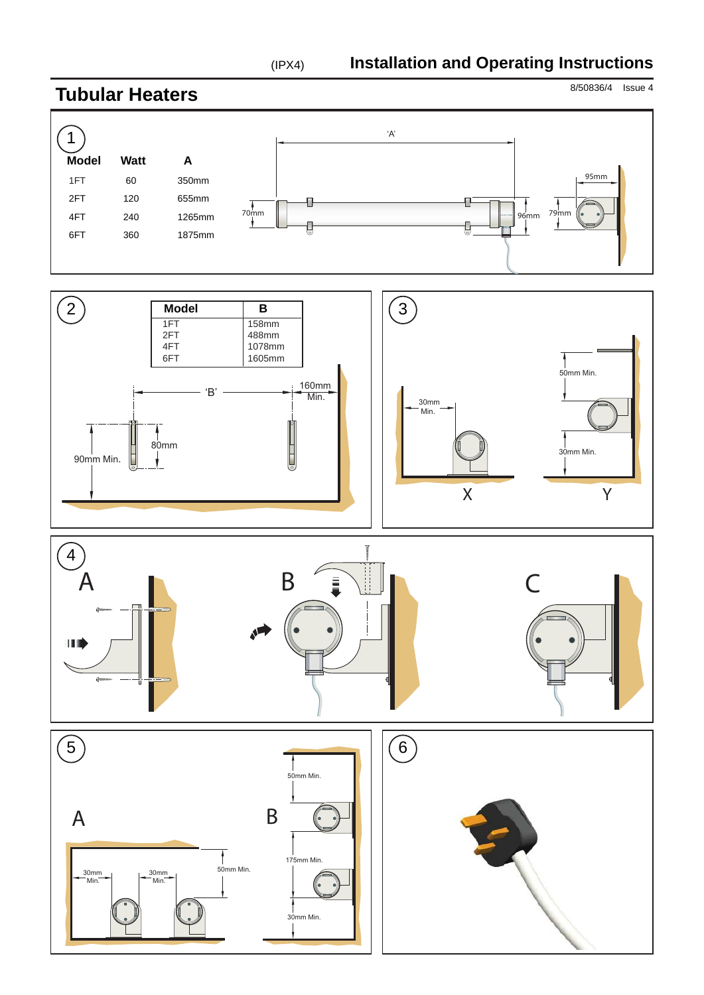